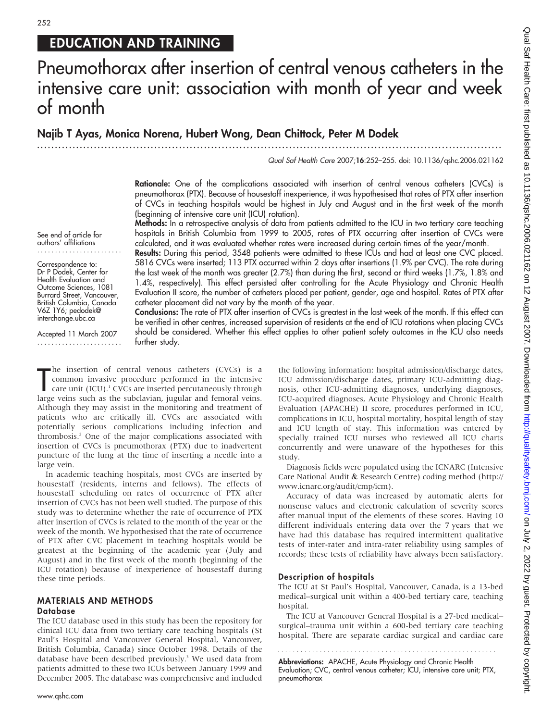## EDUCATION AND TRAINING

# Pneumothorax after insertion of central venous catheters in the intensive care unit: association with month of year and week of month

### Najib T Ayas, Monica Norena, Hubert Wong, Dean Chittock, Peter M Dodek

...................................................................................................................................

Qual Saf Health Care 2007;16:252–255. doi: 10.1136/qshc.2006.021162

Rationale: One of the complications associated with insertion of central venous catheters (CVCs) is pneumothorax (PTX). Because of housestaff inexperience, it was hypothesised that rates of PTX after insertion of CVCs in teaching hospitals would be highest in July and August and in the first week of the month (beginning of intensive care unit (ICU) rotation).

Methods: In a retrospective analysis of data from patients admitted to the ICU in two tertiary care teaching hospitals in British Columbia from 1999 to 2005, rates of PTX occurring after insertion of CVCs were calculated, and it was evaluated whether rates were increased during certain times of the year/month.

Results: During this period, 3548 patients were admitted to these ICUs and had at least one CVC placed. 5816 CVCs were inserted; 113 PTX occurred within 2 days after insertions (1.9% per CVC). The rate during the last week of the month was greater (2.7%) than during the first, second or third weeks (1.7%, 1.8% and 1.4%, respectively). This effect persisted after controlling for the Acute Physiology and Chronic Health Evaluation II score, the number of catheters placed per patient, gender, age and hospital. Rates of PTX after catheter placement did not vary by the month of the year.

Conclusions: The rate of PTX after insertion of CVCs is greatest in the last week of the month. If this effect can be verified in other centres, increased supervision of residents at the end of ICU rotations when placing CVCs should be considered. Whether this effect applies to other patient safety outcomes in the ICU also needs further study.

The insertion of central venous catheters (CVCs) is a<br>common invasive procedure performed in the intensive<br>care unit (ICU).<sup>1</sup> CVCs are inserted percutaneously through<br>large veins such as the subclavian, jugular and femora he insertion of central venous catheters (CVCs) is a common invasive procedure performed in the intensive care unit (ICU).<sup>1</sup> CVCs are inserted percutaneously through Although they may assist in the monitoring and treatment of patients who are critically ill, CVCs are associated with potentially serious complications including infection and thrombosis.2 One of the major complications associated with insertion of CVCs is pneumothorax (PTX) due to inadvertent puncture of the lung at the time of inserting a needle into a large vein.

In academic teaching hospitals, most CVCs are inserted by housestaff (residents, interns and fellows). The effects of housestaff scheduling on rates of occurrence of PTX after insertion of CVCs has not been well studied. The purpose of this study was to determine whether the rate of occurrence of PTX after insertion of CVCs is related to the month of the year or the week of the month. We hypothesised that the rate of occurrence of PTX after CVC placement in teaching hospitals would be greatest at the beginning of the academic year (July and August) and in the first week of the month (beginning of the ICU rotation) because of inexperience of housestaff during these time periods.

#### MATERIALS AND METHODS Database

The ICU database used in this study has been the repository for clinical ICU data from two tertiary care teaching hospitals (St Paul's Hospital and Vancouver General Hospital, Vancouver, British Columbia, Canada) since October 1998. Details of the database have been described previously.<sup>3</sup> We used data from patients admitted to these two ICUs between January 1999 and December 2005. The database was comprehensive and included

the following information: hospital admission/discharge dates, ICU admission/discharge dates, primary ICU-admitting diagnosis, other ICU-admitting diagnoses, underlying diagnoses, ICU-acquired diagnoses, Acute Physiology and Chronic Health Evaluation (APACHE) II score, procedures performed in ICU, complications in ICU, hospital mortality, hospital length of stay and ICU length of stay. This information was entered by specially trained ICU nurses who reviewed all ICU charts concurrently and were unaware of the hypotheses for this study.

Diagnosis fields were populated using the ICNARC (Intensive Care National Audit & Research Centre) coding method (http:// www.icnarc.org/audit/cmp/icm).

Accuracy of data was increased by automatic alerts for nonsense values and electronic calculation of severity scores after manual input of the elements of these scores. Having 10 different individuals entering data over the 7 years that we have had this database has required intermittent qualitative tests of inter-rater and intra-rater reliability using samples of records; these tests of reliability have always been satisfactory.

#### Description of hospitals

The ICU at St Paul's Hospital, Vancouver, Canada, is a 13-bed medical–surgical unit within a 400-bed tertiary care, teaching hospital.

The ICU at Vancouver General Hospital is a 27-bed medical– surgical–trauma unit within a 600-bed tertiary care teaching hospital. There are separate cardiac surgical and cardiac care

Abbreviations: APACHE, Acute Physiology and Chronic Health Evaluation; CVC, central venous catheter; ICU, intensive care unit; PTX, pneumothorax

Correspondence to: Dr P Dodek, Center for Health Evaluation and Outcome Sciences, 1081 Burrard Street, Vancouver, British Columbia, Canada V6Z 1Y6; pedodek@ interchange.ubc.ca

See end of article for authors' affiliations

Accepted 11 March 2007 ........................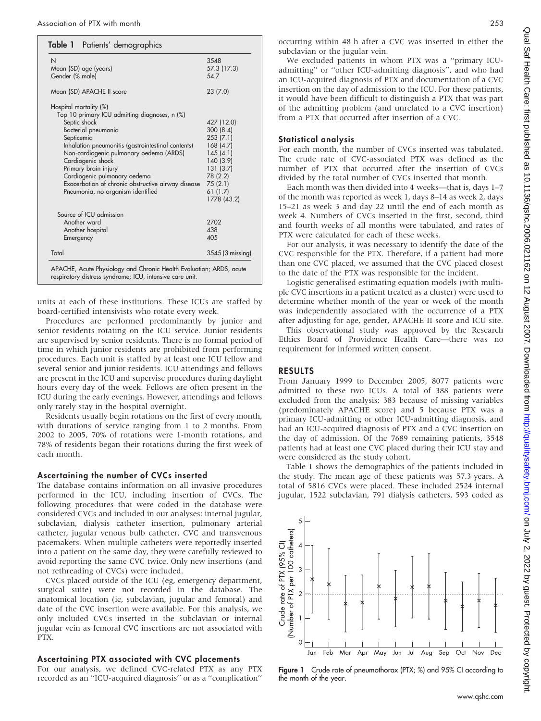| N<br>Mean (SD) age (years)<br>Gender (% male)                                                                                                                                                                                                                                                                                                                                                         | 3548<br>57.3 (17.3)<br>547                                                                                                           |
|-------------------------------------------------------------------------------------------------------------------------------------------------------------------------------------------------------------------------------------------------------------------------------------------------------------------------------------------------------------------------------------------------------|--------------------------------------------------------------------------------------------------------------------------------------|
| Mean (SD) APACHE II score                                                                                                                                                                                                                                                                                                                                                                             | 23(7.0)                                                                                                                              |
| Hospital mortality (%)<br>Top 10 primary ICU admitting diagnoses, n (%)<br>Septic shock<br>Bacterial pneumonia<br>Septicemia<br>Inhalation pneumonitis (gastrointestinal contents)<br>Non-cardiogenic pulmonary oedema (ARDS)<br>Cardiogenic shock<br>Primary brain injury<br>Cardiogenic pulmonary oedema<br>Exacerbation of chronic obstructive airway disease<br>Pneumonia, no organism identified | 427 (12.0)<br>300(8.4)<br>253(7.1)<br>168(4.7)<br>145(4.1)<br>140 (3.9)<br>131(3.7)<br>78 (2.2)<br>75(2.1)<br>61(1.7)<br>1778 (43.2) |
| Source of ICU admission<br>Another ward<br>Another hospital<br>Emergency                                                                                                                                                                                                                                                                                                                              | 2702<br>438<br>405                                                                                                                   |
| Total                                                                                                                                                                                                                                                                                                                                                                                                 | 3545 (3 missing)                                                                                                                     |

units at each of these institutions. These ICUs are staffed by board-certified intensivists who rotate every week.

Procedures are performed predominantly by junior and senior residents rotating on the ICU service. Junior residents are supervised by senior residents. There is no formal period of time in which junior residents are prohibited from performing procedures. Each unit is staffed by at least one ICU fellow and several senior and junior residents. ICU attendings and fellows are present in the ICU and supervise procedures during daylight hours every day of the week. Fellows are often present in the ICU during the early evenings. However, attendings and fellows only rarely stay in the hospital overnight.

Residents usually begin rotations on the first of every month, with durations of service ranging from 1 to 2 months. From 2002 to 2005, 70% of rotations were 1-month rotations, and 78% of residents began their rotations during the first week of each month.

#### Ascertaining the number of CVCs inserted

The database contains information on all invasive procedures performed in the ICU, including insertion of CVCs. The following procedures that were coded in the database were considered CVCs and included in our analyses: internal jugular, subclavian, dialysis catheter insertion, pulmonary arterial catheter, jugular venous bulb catheter, CVC and transvenous pacemakers. When multiple catheters were reportedly inserted into a patient on the same day, they were carefully reviewed to avoid reporting the same CVC twice. Only new insertions (and not rethreading of CVCs) were included.

CVCs placed outside of the ICU (eg, emergency department, surgical suite) were not recorded in the database. The anatomical location (ie, subclavian, jugular and femoral) and date of the CVC insertion were available. For this analysis, we only included CVCs inserted in the subclavian or internal jugular vein as femoral CVC insertions are not associated with PTX.

#### Ascertaining PTX associated with CVC placements

For our analysis, we defined CVC-related PTX as any PTX recorded as an ''ICU-acquired diagnosis'' or as a ''complication''

occurring within 48 h after a CVC was inserted in either the subclavian or the jugular vein.

We excluded patients in whom PTX was a ''primary ICUadmitting'' or ''other ICU-admitting diagnosis'', and who had an ICU-acquired diagnosis of PTX and documentation of a CVC insertion on the day of admission to the ICU. For these patients, it would have been difficult to distinguish a PTX that was part of the admitting problem (and unrelated to a CVC insertion) from a PTX that occurred after insertion of a CVC.

#### Statistical analysis

For each month, the number of CVCs inserted was tabulated. The crude rate of CVC-associated PTX was defined as the number of PTX that occurred after the insertion of CVCs divided by the total number of CVCs inserted that month.

Each month was then divided into 4 weeks—that is, days 1–7 of the month was reported as week 1, days 8–14 as week 2, days 15–21 as week 3 and day 22 until the end of each month as week 4. Numbers of CVCs inserted in the first, second, third and fourth weeks of all months were tabulated, and rates of PTX were calculated for each of these weeks.

For our analysis, it was necessary to identify the date of the CVC responsible for the PTX. Therefore, if a patient had more than one CVC placed, we assumed that the CVC placed closest to the date of the PTX was responsible for the incident.

Logistic generalised estimating equation models (with multiple CVC insertions in a patient treated as a cluster) were used to determine whether month of the year or week of the month was independently associated with the occurrence of a PTX after adjusting for age, gender, APACHE II score and ICU site.

This observational study was approved by the Research Ethics Board of Providence Health Care—there was no requirement for informed written consent.

#### RESULTS

From January 1999 to December 2005, 8077 patients were admitted to these two ICUs. A total of 388 patients were excluded from the analysis; 383 because of missing variables (predominately APACHE score) and 5 because PTX was a primary ICU-admitting or other ICU-admitting diagnosis, and had an ICU-acquired diagnosis of PTX and a CVC insertion on the day of admission. Of the 7689 remaining patients, 3548 patients had at least one CVC placed during their ICU stay and were considered as the study cohort.

Table 1 shows the demographics of the patients included in the study. The mean age of these patients was 57.3 years. A total of 5816 CVCs were placed. These included 2524 internal jugular, 1522 subclavian, 791 dialysis catheters, 593 coded as



Figure 1 Crude rate of pneumothorax (PTX; %) and 95% CI according to the month of the year.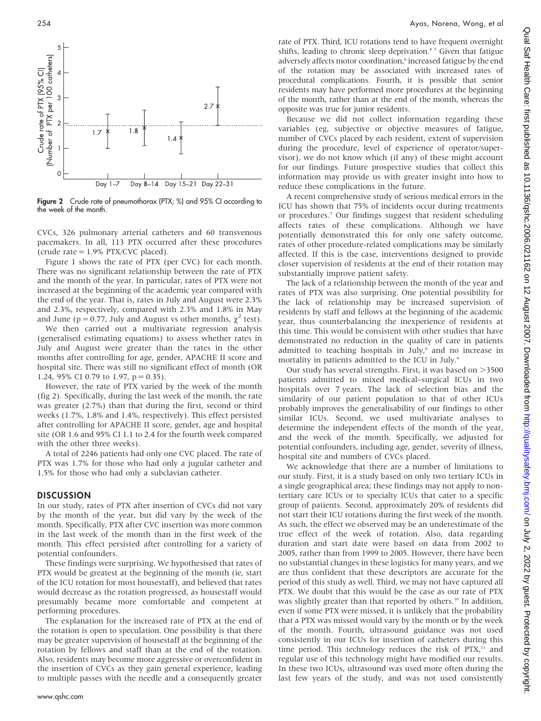

Figure 2 Crude rate of pneumothorax (PTX; %) and 95% CI according to the week of the month.

CVCs, 326 pulmonary arterial catheters and 60 transvenous pacemakers. In all, 113 PTX occurred after these procedures (crude rate  $= 1.9\%$  PTX/CVC placed).

Figure 1 shows the rate of PTX (per CVC) for each month. There was no significant relationship between the rate of PTX and the month of the year. In particular, rates of PTX were not increased at the beginning of the academic year compared with the end of the year. That is, rates in July and August were 2.3% and 2.3%, respectively, compared with 2.3% and 1.8% in May and June (p = 0.77, July and August vs other months,  $\chi^2$  test).

We then carried out a multivariate regression analysis (generalised estimating equations) to assess whether rates in July and August were greater than the rates in the other months after controlling for age, gender, APACHE II score and hospital site. There was still no significant effect of month (OR 1.24, 95% CI 0.79 to 1.97,  $p = 0.35$ ).

However, the rate of PTX varied by the week of the month (fig 2). Specifically, during the last week of the month, the rate was greater (2.7%) than that during the first, second or third weeks (1.7%, 1.8% and 1.4%, respectively). This effect persisted after controlling for APACHE II score, gender, age and hospital site (OR 1.6 and 95% CI 1.1 to 2.4 for the fourth week compared with the other three weeks).

A total of 2246 patients had only one CVC placed. The rate of PTX was 1.7% for those who had only a jugular catheter and 1.5% for those who had only a subclavian catheter.

#### **DISCUSSION**

In our study, rates of PTX after insertion of CVCs did not vary by the month of the year, but did vary by the week of the month. Specifically, PTX after CVC insertion was more common in the last week of the month than in the first week of the month. This effect persisted after controlling for a variety of potential confounders.

These findings were surprising. We hypothesised that rates of PTX would be greatest at the beginning of the month (ie, start of the ICU rotation for most housestaff), and believed that rates would decrease as the rotation progressed, as housestaff would presumably became more comfortable and competent at performing procedures.

The explanation for the increased rate of PTX at the end of the rotation is open to speculation. One possibility is that there may be greater supervision of housestaff at the beginning of the rotation by fellows and staff than at the end of the rotation. Also, residents may become more aggressive or overconfident in the insertion of CVCs as they gain general experience, leading to multiple passes with the needle and a consequently greater

rate of PTX. Third, ICU rotations tend to have frequent overnight shifts, leading to chronic sleep deprivation.<sup>45</sup> Given that fatigue adversely affects motor coordination,<sup>6</sup> increased fatigue by the end of the rotation may be associated with increased rates of procedural complications. Fourth, it is possible that senior residents may have performed more procedures at the beginning of the month, rather than at the end of the month, whereas the opposite was true for junior residents.

Because we did not collect information regarding these variables (eg, subjective or objective measures of fatigue, number of CVCs placed by each resident, extent of supervision during the procedure, level of experience of operator/supervisor), we do not know which (if any) of these might account for our findings. Future prospective studies that collect this information may provide us with greater insight into how to reduce these complications in the future.

A recent comprehensive study of serious medical errors in the ICU has shown that 75% of incidents occur during treatments or procedures.7 Our findings suggest that resident scheduling affects rates of these complications. Although we have potentially demonstrated this for only one safety outcome, rates of other procedure-related complications may be similarly affected. If this is the case, interventions designed to provide closer supervision of residents at the end of their rotation may substantially improve patient safety.

The lack of a relationship between the month of the year and rates of PTX was also surprising. One potential possibility for the lack of relationship may be increased supervision of residents by staff and fellows at the beginning of the academic year, thus counterbalancing the inexperience of residents at this time. This would be consistent with other studies that have demonstrated no reduction in the quality of care in patients admitted to teaching hospitals in July, $^8$  and no increase in mortality in patients admitted to the ICU in July.<sup>9</sup>

Our study has several strengths. First, it was based on  $>3500$ patients admitted to mixed medical–surgical ICUs in two hospitals over 7 years. The lack of selection bias and the similarity of our patient population to that of other ICUs probably improves the generalisability of our findings to other similar ICUs. Second, we used multivariate analyses to determine the independent effects of the month of the year, and the week of the month. Specifically, we adjusted for potential confounders, including age, gender, severity of illness, hospital site and numbers of CVCs placed.

We acknowledge that there are a number of limitations to our study. First, it is a study based on only two tertiary ICUs in a single geographical area; these findings may not apply to nontertiary care ICUs or to specialty ICUs that cater to a specific group of patients. Second, approximately 20% of residents did not start their ICU rotations during the first week of the month. As such, the effect we observed may be an underestimate of the true effect of the week of rotation. Also, data regarding duration and start date were based on data from 2002 to 2005, rather than from 1999 to 2005. However, there have been no substantial changes in these logistics for many years, and we are thus confident that these descriptors are accurate for the period of this study as well. Third, we may not have captured all PTX. We doubt that this would be the case as our rate of PTX was slightly greater than that reported by others.<sup>10</sup> In addition, even if some PTX were missed, it is unlikely that the probability that a PTX was missed would vary by the month or by the week of the month. Fourth, ultrasound guidance was not used consistently in our ICUs for insertion of catheters during this time period. This technology reduces the risk of PTX,<sup>11</sup> and regular use of this technology might have modified our results. In these two ICUs, ultrasound was used more often during the last few years of the study, and was not used consistently